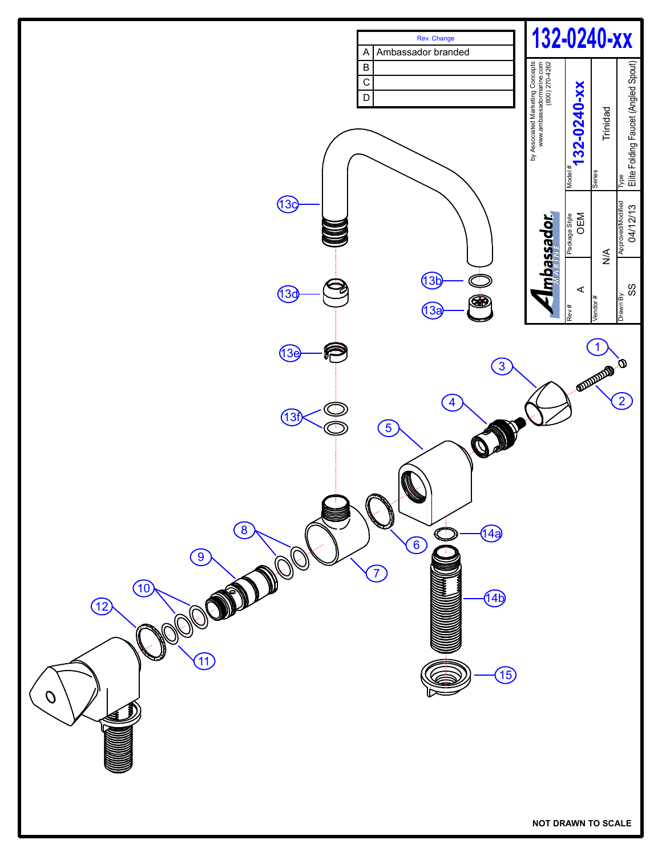